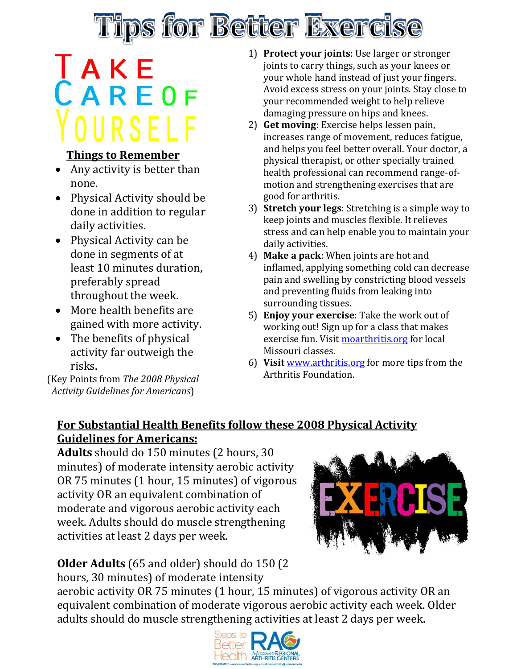

# **TAKE**<br>CAREOF OURSELF

#### **Things to Remember**

- Any activity is better than none.
- Physical Activity should be done in addition to regular daily activities.
- Physical Activity can be done in segments of at least 10 minutes duration, preferably spread throughout the week.
- More health benefits are gained with more activity.
- The benefits of physical activity far outweigh the risks.

(Key Points from *The 2008 Physical Activity Guidelines for Americans*)

- 1) **Protect your joints**: Use larger or stronger joints to carry things, such as your knees or your whole hand instead of just your fingers. Avoid excess stress on your joints. Stay close to your recommended weight to help relieve damaging pressure on hips and knees.
- 2) **Get moving**: Exercise helps lessen pain, increases range of movement, reduces fatigue, and helps you feel better overall. Your doctor, a physical therapist, or other specially trained health professional can recommend range-ofmotion and strengthening exercises that are good for arthritis.
- 3) **Stretch your legs**: Stretching is a simple way to keep joints and muscles flexible. It relieves stress and can help enable you to maintain your daily activities.
- 4) **Make a pack**: When joints are hot and inflamed, applying something cold can decrease pain and swelling by constricting blood vessels and preventing fluids from leaking into surrounding tissues.
- 5) **Enjoy your exercise**: Take the work out of working out! Sign up for a class that makes exercise fun. Visi[t moarthritis.org](http://www.moarthritis.org/) for local Missouri classes.
- 6) **Visit** [www.arthritis.org](http://www.arthritis.org/) for more tips from the Arthritis Foundation.

### **For Substantial Health Benefits follow these 2008 Physical Activity Guidelines for Americans:**

**Adults** should do 150 minutes (2 hours, 30 minutes) of moderate intensity aerobic activity OR 75 minutes (1 hour, 15 minutes) of vigorous activity OR an equivalent combination of moderate and vigorous aerobic activity each week. Adults should do muscle strengthening activities at least 2 days per week.

#### **Older Adults** (65 and older) should do 150 (2 hours, 30 minutes) of moderate intensity

aerobic activity OR 75 minutes (1 hour, 15 minutes) of vigorous activity OR an equivalent combination of moderate vigorous aerobic activity each week. Older adults should do muscle strengthening activities at least 2 days per week.